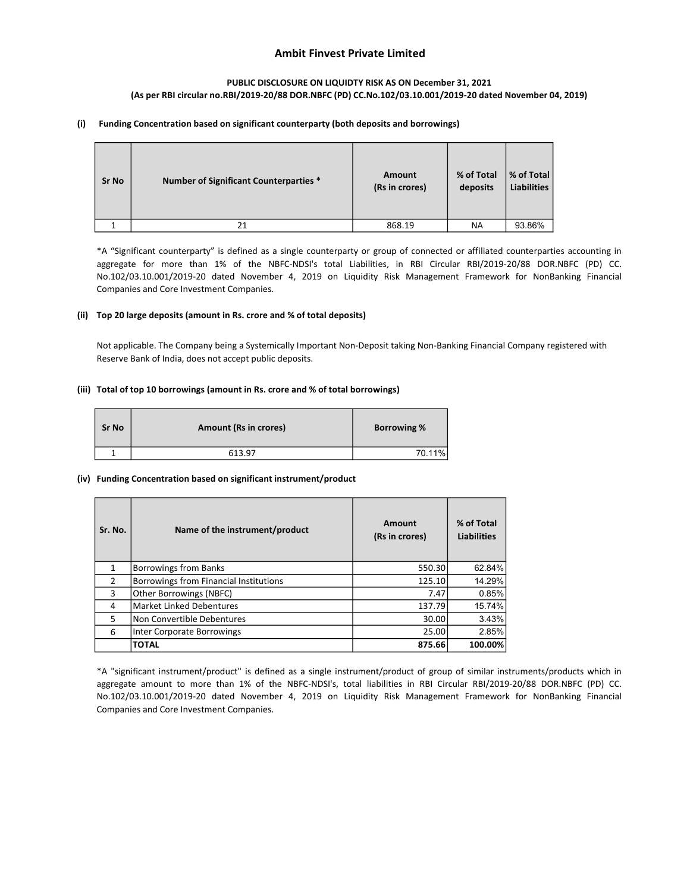# Ambit Finvest Private Limited

### PUBLIC DISCLOSURE ON LIQUIDTY RISK AS ON December 31, 2021 (As per RBI circular no.RBI/2019-20/88 DOR.NBFC (PD) CC.No.102/03.10.001/2019-20 dated November 04, 2019)

#### (i) Funding Concentration based on significant counterparty (both deposits and borrowings)

| <b>Sr No</b> | <b>Number of Significant Counterparties *</b> | Amount<br>(Rs in crores) | % of Total<br>deposits | % of Total<br><b>Liabilities</b> |
|--------------|-----------------------------------------------|--------------------------|------------------------|----------------------------------|
|              | 21                                            | 868.19                   | NA                     | 93.86%                           |

\*A "Significant counterparty" is defined as a single counterparty or group of connected or affiliated counterparties accounting in aggregate for more than 1% of the NBFC-NDSI's total Liabilities, in RBI Circular RBI/2019-20/88 DOR.NBFC (PD) CC. No.102/03.10.001/2019-20 dated November 4, 2019 on Liquidity Risk Management Framework for NonBanking Financial Companies and Core Investment Companies.

### (ii) Top 20 large deposits (amount in Rs. crore and % of total deposits)

Not applicable. The Company being a Systemically Important Non-Deposit taking Non-Banking Financial Company registered with Reserve Bank of India, does not accept public deposits.

#### (iii) Total of top 10 borrowings (amount in Rs. crore and % of total borrowings)

| <b>Sr No</b> | <b>Amount (Rs in crores)</b> | <b>Borrowing %</b> |
|--------------|------------------------------|--------------------|
|              | 613.97                       | 70.11%             |

#### (iv) Funding Concentration based on significant instrument/product

| Sr. No. | Name of the instrument/product         | Amount<br>(Rs in crores) | % of Total<br><b>Liabilities</b> |
|---------|----------------------------------------|--------------------------|----------------------------------|
| 1       | <b>Borrowings from Banks</b>           | 550.30                   | 62.84%                           |
| 2       | Borrowings from Financial Institutions | 125.10                   | 14.29%                           |
| 3       | Other Borrowings (NBFC)                | 7.47                     | 0.85%                            |
| 4       | <b>Market Linked Debentures</b>        | 137.79                   | 15.74%                           |
| 5       | Non Convertible Debentures             | 30.00                    | 3.43%                            |
| 6       | Inter Corporate Borrowings             | 25.00                    | 2.85%                            |
|         | <b>TOTAL</b>                           | 875.66                   | 100.00%                          |

\*A "significant instrument/product" is defined as a single instrument/product of group of similar instruments/products which in aggregate amount to more than 1% of the NBFC-NDSI's, total liabilities in RBI Circular RBI/2019-20/88 DOR.NBFC (PD) CC. No.102/03.10.001/2019-20 dated November 4, 2019 on Liquidity Risk Management Framework for NonBanking Financial Companies and Core Investment Companies.